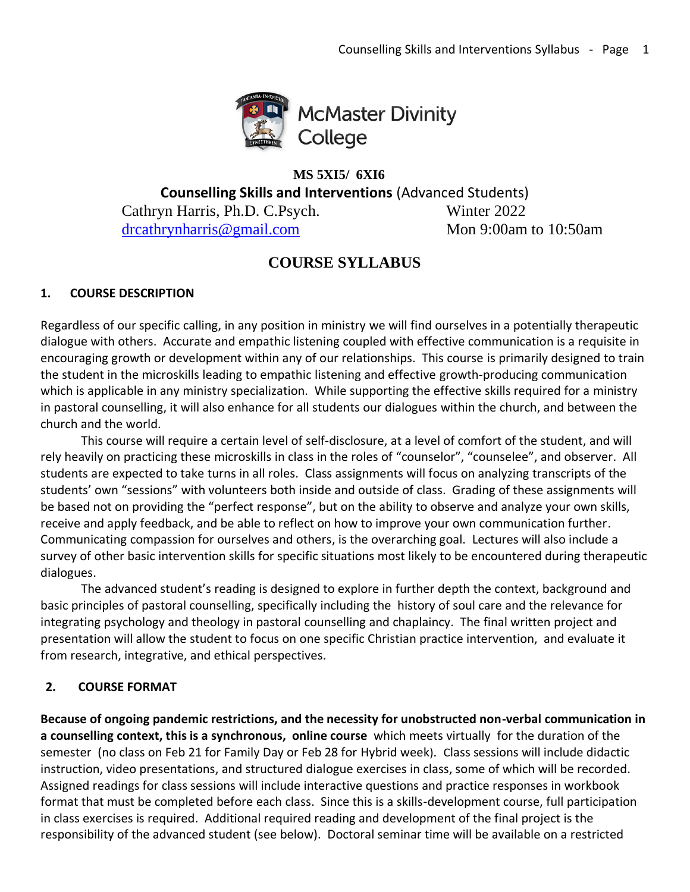

### **MS 5XI5/ 6XI6**

**Counselling Skills and Interventions** (Advanced Students)

Cathryn Harris, Ph.D. C.Psych. Winter 2022 [drcathrynharris@gmail.com](mailto:drcathrynharris@gmail.com) Mon 9:00am to 10:50am

# **COURSE SYLLABUS**

## **1. COURSE DESCRIPTION**

Regardless of our specific calling, in any position in ministry we will find ourselves in a potentially therapeutic dialogue with others. Accurate and empathic listening coupled with effective communication is a requisite in encouraging growth or development within any of our relationships. This course is primarily designed to train the student in the microskills leading to empathic listening and effective growth-producing communication which is applicable in any ministry specialization. While supporting the effective skills required for a ministry in pastoral counselling, it will also enhance for all students our dialogues within the church, and between the church and the world.

 This course will require a certain level of self-disclosure, at a level of comfort of the student, and will rely heavily on practicing these microskills in class in the roles of "counselor", "counselee", and observer. All students are expected to take turns in all roles. Class assignments will focus on analyzing transcripts of the students' own "sessions" with volunteers both inside and outside of class. Grading of these assignments will be based not on providing the "perfect response", but on the ability to observe and analyze your own skills, receive and apply feedback, and be able to reflect on how to improve your own communication further. Communicating compassion for ourselves and others, is the overarching goal. Lectures will also include a survey of other basic intervention skills for specific situations most likely to be encountered during therapeutic dialogues.

 The advanced student's reading is designed to explore in further depth the context, background and basic principles of pastoral counselling, specifically including the history of soul care and the relevance for integrating psychology and theology in pastoral counselling and chaplaincy. The final written project and presentation will allow the student to focus on one specific Christian practice intervention, and evaluate it from research, integrative, and ethical perspectives.

## **2. COURSE FORMAT**

**Because of ongoing pandemic restrictions, and the necessity for unobstructed non-verbal communication in a counselling context, this is a synchronous, online course** which meets virtually for the duration of the semester (no class on Feb 21 for Family Day or Feb 28 for Hybrid week). Class sessions will include didactic instruction, video presentations, and structured dialogue exercises in class, some of which will be recorded. Assigned readings for class sessions will include interactive questions and practice responses in workbook format that must be completed before each class. Since this is a skills-development course, full participation in class exercises is required. Additional required reading and development of the final project is the responsibility of the advanced student (see below). Doctoral seminar time will be available on a restricted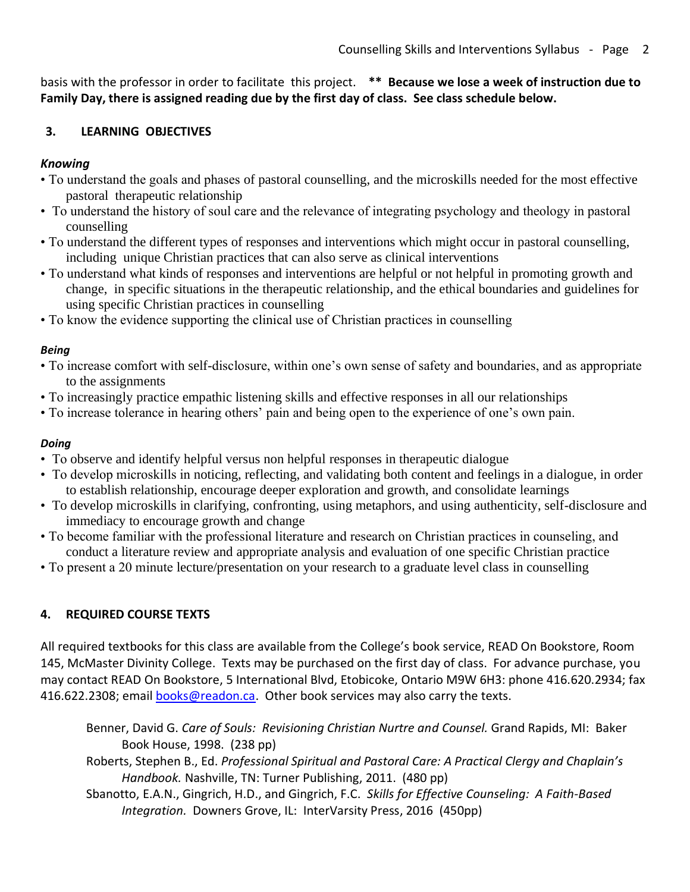basis with the professor in order to facilitate this project. **\*\* Because we lose a week of instruction due to Family Day, there is assigned reading due by the first day of class. See class schedule below.**

### **3. LEARNING OBJECTIVES**

## *Knowing*

- To understand the goals and phases of pastoral counselling, and the microskills needed for the most effective pastoral therapeutic relationship
- To understand the history of soul care and the relevance of integrating psychology and theology in pastoral counselling
- To understand the different types of responses and interventions which might occur in pastoral counselling, including unique Christian practices that can also serve as clinical interventions
- To understand what kinds of responses and interventions are helpful or not helpful in promoting growth and change, in specific situations in the therapeutic relationship, and the ethical boundaries and guidelines for using specific Christian practices in counselling
- To know the evidence supporting the clinical use of Christian practices in counselling

## *Being*

- To increase comfort with self-disclosure, within one's own sense of safety and boundaries, and as appropriate to the assignments
- To increasingly practice empathic listening skills and effective responses in all our relationships
- To increase tolerance in hearing others' pain and being open to the experience of one's own pain.

### *Doing*

- To observe and identify helpful versus non helpful responses in therapeutic dialogue
- To develop microskills in noticing, reflecting, and validating both content and feelings in a dialogue, in order to establish relationship, encourage deeper exploration and growth, and consolidate learnings
- To develop microskills in clarifying, confronting, using metaphors, and using authenticity, self-disclosure and immediacy to encourage growth and change
- To become familiar with the professional literature and research on Christian practices in counseling, and conduct a literature review and appropriate analysis and evaluation of one specific Christian practice
- To present a 20 minute lecture/presentation on your research to a graduate level class in counselling

## **4. REQUIRED COURSE TEXTS**

All required textbooks for this class are available from the College's book service, READ On Bookstore, Room 145, McMaster Divinity College. Texts may be purchased on the first day of class. For advance purchase, you may contact READ On Bookstore, 5 International Blvd, Etobicoke, Ontario M9W 6H3: phone 416.620.2934; fax 416.622.2308; email [books@readon.ca.](mailto:books@readon.ca) Other book services may also carry the texts.

Benner, David G. *Care of Souls: Revisioning Christian Nurtre and Counsel.* Grand Rapids, MI: Baker Book House, 1998. (238 pp)

Roberts, Stephen B., Ed. *Professional Spiritual and Pastoral Care: A Practical Clergy and Chaplain's Handbook.* Nashville, TN: Turner Publishing, 2011. (480 pp)

Sbanotto, E.A.N., Gingrich, H.D., and Gingrich, F.C. *Skills for Effective Counseling: A Faith-Based Integration.* Downers Grove, IL: InterVarsity Press, 2016 (450pp)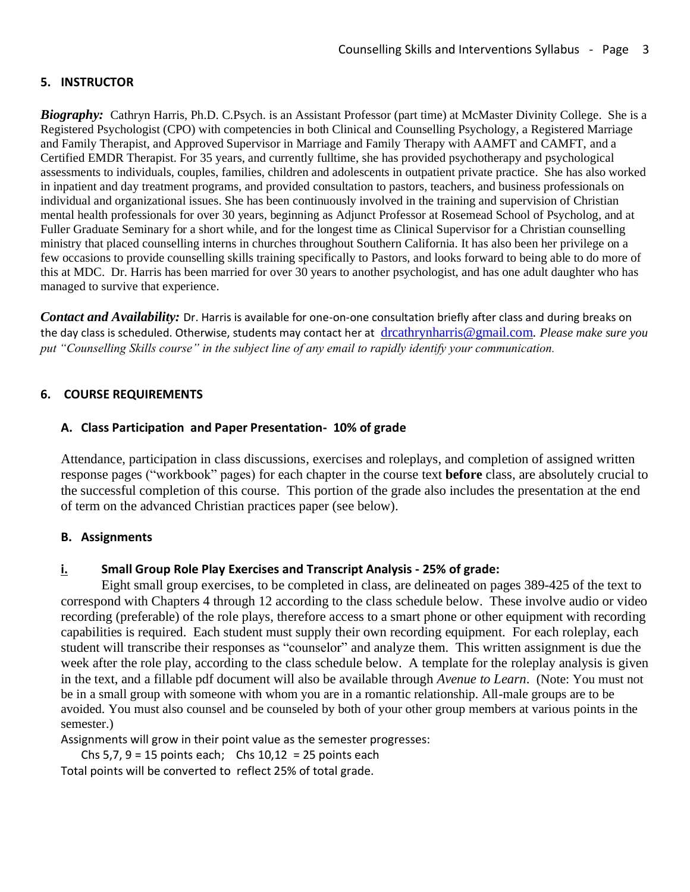#### **5. INSTRUCTOR**

*Biography:* Cathryn Harris, Ph.D. C.Psych. is an Assistant Professor (part time) at McMaster Divinity College. She is a Registered Psychologist (CPO) with competencies in both Clinical and Counselling Psychology, a Registered Marriage and Family Therapist, and Approved Supervisor in Marriage and Family Therapy with AAMFT and CAMFT, and a Certified EMDR Therapist. For 35 years, and currently fulltime, she has provided psychotherapy and psychological assessments to individuals, couples, families, children and adolescents in outpatient private practice. She has also worked in inpatient and day treatment programs, and provided consultation to pastors, teachers, and business professionals on individual and organizational issues. She has been continuously involved in the training and supervision of Christian mental health professionals for over 30 years, beginning as Adjunct Professor at Rosemead School of Psycholog, and at Fuller Graduate Seminary for a short while, and for the longest time as Clinical Supervisor for a Christian counselling ministry that placed counselling interns in churches throughout Southern California. It has also been her privilege on a few occasions to provide counselling skills training specifically to Pastors, and looks forward to being able to do more of this at MDC. Dr. Harris has been married for over 30 years to another psychologist, and has one adult daughter who has managed to survive that experience.

*Contact and Availability:* Dr. Harris is available for one-on-one consultation briefly after class and during breaks on the day class is scheduled. Otherwise, students may contact her at [drcathrynharris@gmail.com](mailto:drcathrynharris@gmail.com)*. Please make sure you put "Counselling Skills course" in the subject line of any email to rapidly identify your communication.*

#### **6. COURSE REQUIREMENTS**

#### **A. Class Participation and Paper Presentation- 10% of grade**

Attendance, participation in class discussions, exercises and roleplays, and completion of assigned written response pages ("workbook" pages) for each chapter in the course text **before** class, are absolutely crucial to the successful completion of this course. This portion of the grade also includes the presentation at the end of term on the advanced Christian practices paper (see below).

#### **B. Assignments**

#### **i. Small Group Role Play Exercises and Transcript Analysis - 25% of grade:**

Eight small group exercises, to be completed in class, are delineated on pages 389-425 of the text to correspond with Chapters 4 through 12 according to the class schedule below. These involve audio or video recording (preferable) of the role plays, therefore access to a smart phone or other equipment with recording capabilities is required. Each student must supply their own recording equipment. For each roleplay, each student will transcribe their responses as "counselor" and analyze them. This written assignment is due the week after the role play, according to the class schedule below. A template for the roleplay analysis is given in the text, and a fillable pdf document will also be available through *Avenue to Learn*. (Note: You must not be in a small group with someone with whom you are in a romantic relationship. All-male groups are to be avoided. You must also counsel and be counseled by both of your other group members at various points in the semester.)

Assignments will grow in their point value as the semester progresses:

Chs  $5,7, 9 = 15$  points each; Chs  $10,12 = 25$  points each

Total points will be converted to reflect 25% of total grade.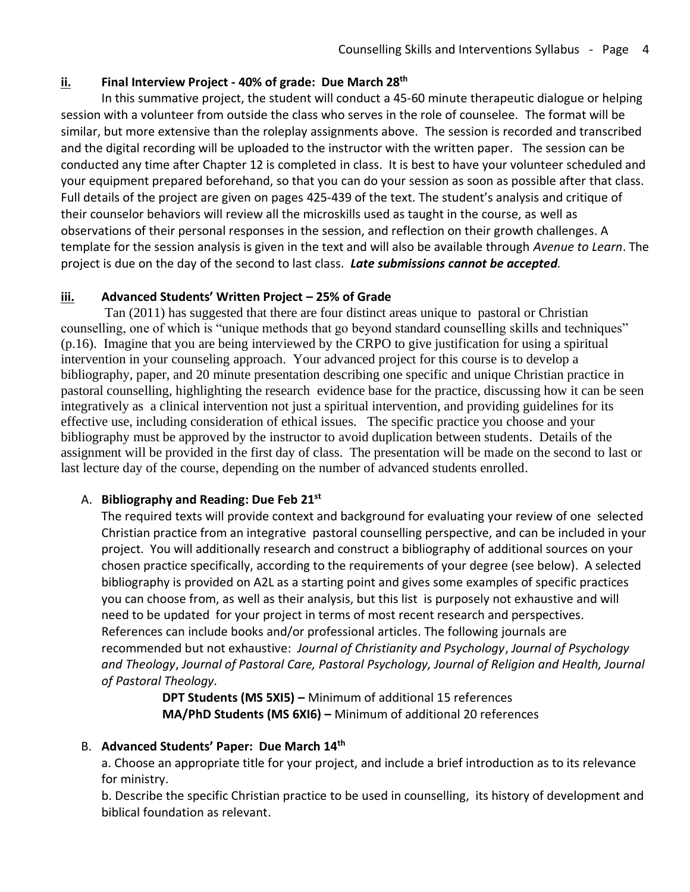#### **ii. Final Interview Project - 40% of grade: Due March 28th**

In this summative project, the student will conduct a 45-60 minute therapeutic dialogue or helping session with a volunteer from outside the class who serves in the role of counselee. The format will be similar, but more extensive than the roleplay assignments above. The session is recorded and transcribed and the digital recording will be uploaded to the instructor with the written paper. The session can be conducted any time after Chapter 12 is completed in class. It is best to have your volunteer scheduled and your equipment prepared beforehand, so that you can do your session as soon as possible after that class. Full details of the project are given on pages 425-439 of the text. The student's analysis and critique of their counselor behaviors will review all the microskills used as taught in the course, as well as observations of their personal responses in the session, and reflection on their growth challenges. A template for the session analysis is given in the text and will also be available through *Avenue to Learn*. The project is due on the day of the second to last class. *Late submissions cannot be accepted.*

### **iii. Advanced Students' Written Project – 25% of Grade**

 Tan (2011) has suggested that there are four distinct areas unique to pastoral or Christian counselling, one of which is "unique methods that go beyond standard counselling skills and techniques" (p.16). Imagine that you are being interviewed by the CRPO to give justification for using a spiritual intervention in your counseling approach. Your advanced project for this course is to develop a bibliography, paper, and 20 minute presentation describing one specific and unique Christian practice in pastoral counselling, highlighting the research evidence base for the practice, discussing how it can be seen integratively as a clinical intervention not just a spiritual intervention, and providing guidelines for its effective use, including consideration of ethical issues. The specific practice you choose and your bibliography must be approved by the instructor to avoid duplication between students. Details of the assignment will be provided in the first day of class. The presentation will be made on the second to last or last lecture day of the course, depending on the number of advanced students enrolled.

### A. **Bibliography and Reading: Due Feb 21st**

The required texts will provide context and background for evaluating your review of one selected Christian practice from an integrative pastoral counselling perspective, and can be included in your project. You will additionally research and construct a bibliography of additional sources on your chosen practice specifically, according to the requirements of your degree (see below). A selected bibliography is provided on A2L as a starting point and gives some examples of specific practices you can choose from, as well as their analysis, but this list is purposely not exhaustive and will need to be updated for your project in terms of most recent research and perspectives. References can include books and/or professional articles. The following journals are recommended but not exhaustive: *Journal of Christianity and Psychology*, *Journal of Psychology and Theology*, *Journal of Pastoral Care, Pastoral Psychology, Journal of Religion and Health, Journal of Pastoral Theology.*

> **DPT Students (MS 5XI5) –** Minimum of additional 15 references **MA/PhD Students (MS 6XI6) –** Minimum of additional 20 references

#### B. **Advanced Students' Paper: Due March 14th**

a. Choose an appropriate title for your project, and include a brief introduction as to its relevance for ministry.

b. Describe the specific Christian practice to be used in counselling, its history of development and biblical foundation as relevant.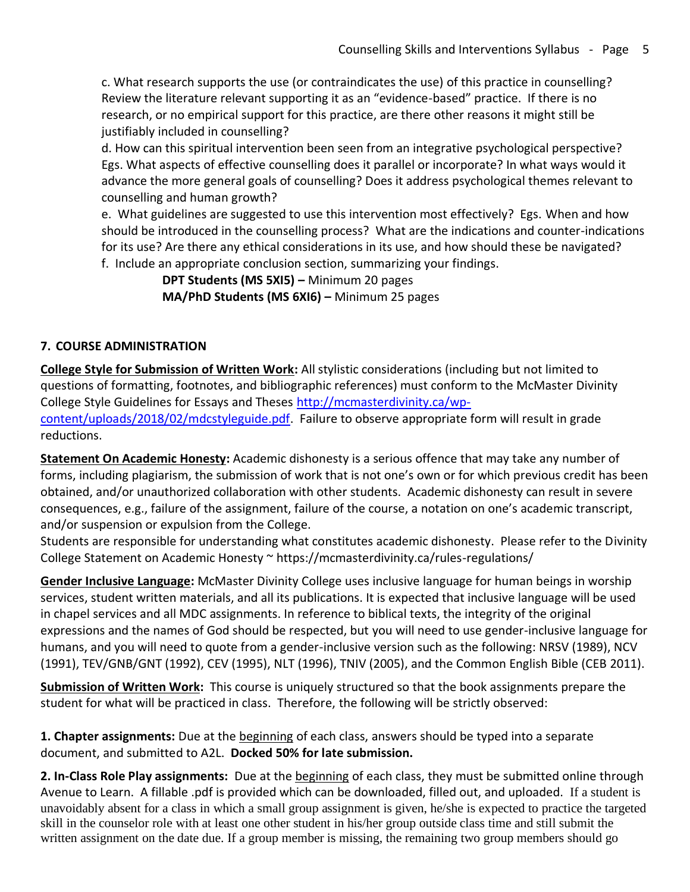c. What research supports the use (or contraindicates the use) of this practice in counselling? Review the literature relevant supporting it as an "evidence-based" practice. If there is no research, or no empirical support for this practice, are there other reasons it might still be justifiably included in counselling?

d. How can this spiritual intervention been seen from an integrative psychological perspective? Egs. What aspects of effective counselling does it parallel or incorporate? In what ways would it advance the more general goals of counselling? Does it address psychological themes relevant to counselling and human growth?

e. What guidelines are suggested to use this intervention most effectively? Egs. When and how should be introduced in the counselling process? What are the indications and counter-indications for its use? Are there any ethical considerations in its use, and how should these be navigated? f. Include an appropriate conclusion section, summarizing your findings.

> **DPT Students (MS 5XI5) –** Minimum 20 pages **MA/PhD Students (MS 6XI6) –** Minimum 25 pages

## **7. COURSE ADMINISTRATION**

**College Style for Submission of Written Work:** All stylistic considerations (including but not limited to questions of formatting, footnotes, and bibliographic references) must conform to the McMaster Divinity College Style Guidelines for Essays and Theses [http://mcmasterdivinity.ca/wp](http://mcmasterdivinity.ca/wp-content/uploads/2018/02/mdcstyleguide.pdf)[content/uploads/2018/02/mdcstyleguide.pdf.](http://mcmasterdivinity.ca/wp-content/uploads/2018/02/mdcstyleguide.pdf) Failure to observe appropriate form will result in grade reductions.

**Statement On Academic Honesty:** Academic dishonesty is a serious offence that may take any number of forms, including plagiarism, the submission of work that is not one's own or for which previous credit has been obtained, and/or unauthorized collaboration with other students. Academic dishonesty can result in severe consequences, e.g., failure of the assignment, failure of the course, a notation on one's academic transcript, and/or suspension or expulsion from the College.

Students are responsible for understanding what constitutes academic dishonesty. Please refer to the Divinity College Statement on Academic Honesty ~ https://mcmasterdivinity.ca/rules-regulations/

**Gender Inclusive Language:** McMaster Divinity College uses inclusive language for human beings in worship services, student written materials, and all its publications. It is expected that inclusive language will be used in chapel services and all MDC assignments. In reference to biblical texts, the integrity of the original expressions and the names of God should be respected, but you will need to use gender-inclusive language for humans, and you will need to quote from a gender-inclusive version such as the following: NRSV (1989), NCV (1991), TEV/GNB/GNT (1992), CEV (1995), NLT (1996), TNIV (2005), and the Common English Bible (CEB 2011).

**Submission of Written Work:** This course is uniquely structured so that the book assignments prepare the student for what will be practiced in class. Therefore, the following will be strictly observed:

**1. Chapter assignments:** Due at the beginning of each class, answers should be typed into a separate document, and submitted to A2L. **Docked 50% for late submission.**

**2. In-Class Role Play assignments:** Due at the beginning of each class, they must be submitted online through Avenue to Learn. A fillable .pdf is provided which can be downloaded, filled out, and uploaded. If a student is unavoidably absent for a class in which a small group assignment is given, he/she is expected to practice the targeted skill in the counselor role with at least one other student in his/her group outside class time and still submit the written assignment on the date due. If a group member is missing, the remaining two group members should go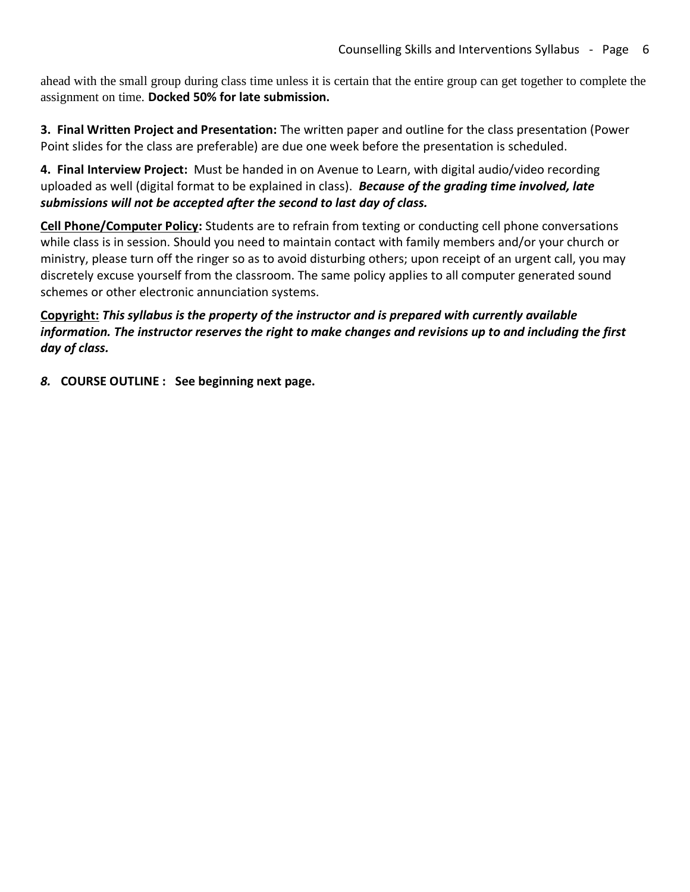ahead with the small group during class time unless it is certain that the entire group can get together to complete the assignment on time. **Docked 50% for late submission.**

**3. Final Written Project and Presentation:** The written paper and outline for the class presentation (Power Point slides for the class are preferable) are due one week before the presentation is scheduled.

**4. Final Interview Project:** Must be handed in on Avenue to Learn, with digital audio/video recording uploaded as well (digital format to be explained in class). *Because of the grading time involved, late submissions will not be accepted after the second to last day of class.* 

**Cell Phone/Computer Policy:** Students are to refrain from texting or conducting cell phone conversations while class is in session. Should you need to maintain contact with family members and/or your church or ministry, please turn off the ringer so as to avoid disturbing others; upon receipt of an urgent call, you may discretely excuse yourself from the classroom. The same policy applies to all computer generated sound schemes or other electronic annunciation systems.

**Copyright:** *This syllabus is the property of the instructor and is prepared with currently available information. The instructor reserves the right to make changes and revisions up to and including the first day of class.*

*8.* **COURSE OUTLINE : See beginning next page.**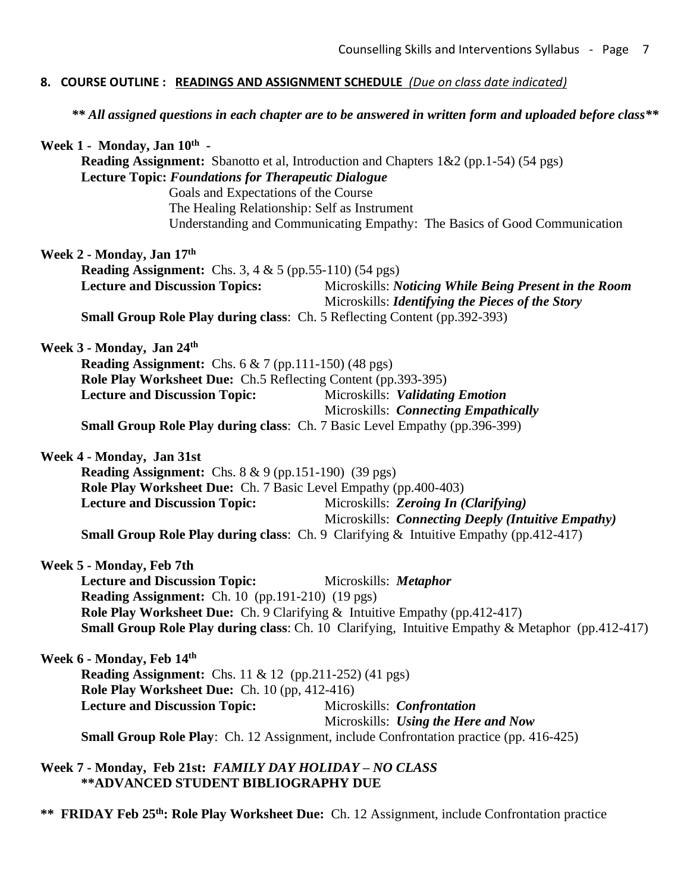#### **8. COURSE OUTLINE : READINGS AND ASSIGNMENT SCHEDULE** *(Due on class date indicated)*

*\*\* All assigned questions in each chapter are to be answered in written form and uploaded before class\*\**

| Week 1 - Monday, Jan 10th -                                                                                                                        |                                                                                                           |
|----------------------------------------------------------------------------------------------------------------------------------------------------|-----------------------------------------------------------------------------------------------------------|
| Reading Assignment: Sbanotto et al, Introduction and Chapters 1&2 (pp.1-54) (54 pgs)<br><b>Lecture Topic: Foundations for Therapeutic Dialogue</b> |                                                                                                           |
| Goals and Expectations of the Course                                                                                                               |                                                                                                           |
|                                                                                                                                                    | The Healing Relationship: Self as Instrument                                                              |
|                                                                                                                                                    | Understanding and Communicating Empathy: The Basics of Good Communication                                 |
|                                                                                                                                                    |                                                                                                           |
| Week 2 - Monday, Jan 17th                                                                                                                          |                                                                                                           |
| <b>Reading Assignment:</b> Chs. 3, 4 & 5 (pp.55-110) (54 pgs)                                                                                      |                                                                                                           |
| <b>Lecture and Discussion Topics:</b>                                                                                                              | Microskills: Noticing While Being Present in the Room<br>Microskills: Identifying the Pieces of the Story |
|                                                                                                                                                    | <b>Small Group Role Play during class:</b> Ch. 5 Reflecting Content (pp.392-393)                          |
| Week 3 - Monday, Jan 24th                                                                                                                          |                                                                                                           |
| Reading Assignment: Chs. 6 & 7 (pp.111-150) (48 pgs)                                                                                               |                                                                                                           |
| Role Play Worksheet Due: Ch.5 Reflecting Content (pp.393-395)                                                                                      |                                                                                                           |
| <b>Lecture and Discussion Topic:</b>                                                                                                               | Microskills: Validating Emotion                                                                           |
|                                                                                                                                                    | Microskills: Connecting Empathically                                                                      |
|                                                                                                                                                    | <b>Small Group Role Play during class:</b> Ch. 7 Basic Level Empathy (pp.396-399)                         |
| Week 4 - Monday, Jan 31st                                                                                                                          |                                                                                                           |
| <b>Reading Assignment:</b> Chs. $8 \& 9$ (pp.151-190) (39 pgs)                                                                                     |                                                                                                           |
| Role Play Worksheet Due: Ch. 7 Basic Level Empathy (pp.400-403)                                                                                    |                                                                                                           |
| <b>Lecture and Discussion Topic:</b>                                                                                                               | Microskills: Zeroing In (Clarifying)                                                                      |
|                                                                                                                                                    | Microskills: Connecting Deeply (Intuitive Empathy)                                                        |
|                                                                                                                                                    | <b>Small Group Role Play during class:</b> Ch. 9 Clarifying $\&$ Intuitive Empathy (pp.412-417)           |
| Week 5 - Monday, Feb 7th                                                                                                                           |                                                                                                           |
| <b>Lecture and Discussion Topic:</b>                                                                                                               | Microskills: <i>Metaphor</i>                                                                              |
| <b>Reading Assignment:</b> Ch. 10 (pp.191-210) (19 pgs)                                                                                            |                                                                                                           |
|                                                                                                                                                    | <b>Role Play Worksheet Due:</b> Ch. 9 Clarifying & Intuitive Empathy (pp.412-417)                         |
|                                                                                                                                                    | Small Group Role Play during class: Ch. 10 Clarifying, Intuitive Empathy & Metaphor (pp.412-417)          |
| Week 6 - Monday, Feb 14th                                                                                                                          |                                                                                                           |
| <b>Reading Assignment:</b> Chs. 11 & 12 (pp.211-252) (41 pgs)                                                                                      |                                                                                                           |
| Role Play Worksheet Due: Ch. 10 (pp, 412-416)                                                                                                      |                                                                                                           |
| <b>Lecture and Discussion Topic:</b>                                                                                                               | Microskills: Confrontation                                                                                |
|                                                                                                                                                    | Microskills: Using the Here and Now                                                                       |
|                                                                                                                                                    | <b>Small Group Role Play:</b> Ch. 12 Assignment, include Confrontation practice (pp. 416-425)             |
| Week 7 - Monday, Feb 21st: FAMILY DAY HOLIDAY - NO CLASS                                                                                           |                                                                                                           |
| ** ADVANCED STUDENT BIBLIOGRAPHY DUE                                                                                                               |                                                                                                           |

**\*\* FRIDAY Feb 25th: Role Play Worksheet Due:** Ch. 12 Assignment, include Confrontation practice